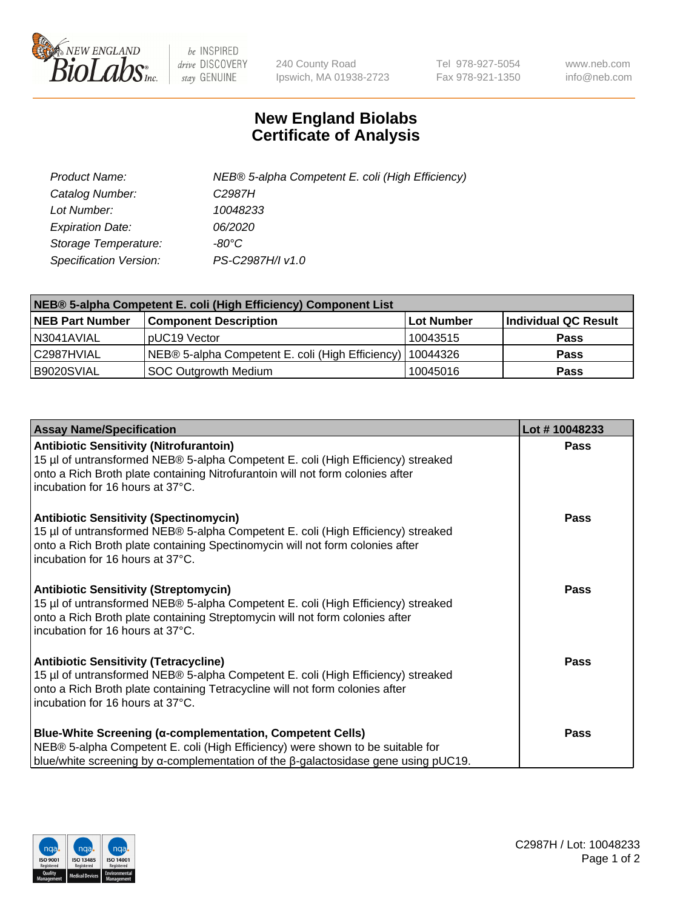

 $be$  INSPIRED drive DISCOVERY stay GENUINE

240 County Road Ipswich, MA 01938-2723 Tel 978-927-5054 Fax 978-921-1350 www.neb.com info@neb.com

## **New England Biolabs Certificate of Analysis**

| Product Name:           | NEB® 5-alpha Competent E. coli (High Efficiency) |
|-------------------------|--------------------------------------------------|
| Catalog Number:         | C <sub>2987</sub> H                              |
| Lot Number:             | 10048233                                         |
| <b>Expiration Date:</b> | <i>06/2020</i>                                   |
| Storage Temperature:    | -80°C                                            |
| Specification Version:  | PS-C2987H/I v1.0                                 |

| NEB® 5-alpha Competent E. coli (High Efficiency) Component List |                                                  |            |                      |  |
|-----------------------------------------------------------------|--------------------------------------------------|------------|----------------------|--|
| <b>NEB Part Number</b>                                          | <b>Component Description</b>                     | Lot Number | Individual QC Result |  |
| N3041AVIAL                                                      | pUC19 Vector                                     | 10043515   | <b>Pass</b>          |  |
| C2987HVIAL                                                      | NEB® 5-alpha Competent E. coli (High Efficiency) | 10044326   | <b>Pass</b>          |  |
| B9020SVIAL                                                      | <b>SOC Outgrowth Medium</b>                      | 10045016   | <b>Pass</b>          |  |

| <b>Assay Name/Specification</b>                                                                                                                                                                                                                          | Lot #10048233 |
|----------------------------------------------------------------------------------------------------------------------------------------------------------------------------------------------------------------------------------------------------------|---------------|
| <b>Antibiotic Sensitivity (Nitrofurantoin)</b><br>15 µl of untransformed NEB® 5-alpha Competent E. coli (High Efficiency) streaked<br>onto a Rich Broth plate containing Nitrofurantoin will not form colonies after<br>incubation for 16 hours at 37°C. | <b>Pass</b>   |
| <b>Antibiotic Sensitivity (Spectinomycin)</b><br>15 µl of untransformed NEB® 5-alpha Competent E. coli (High Efficiency) streaked<br>onto a Rich Broth plate containing Spectinomycin will not form colonies after<br>incubation for 16 hours at 37°C.   | <b>Pass</b>   |
| <b>Antibiotic Sensitivity (Streptomycin)</b><br>15 µl of untransformed NEB® 5-alpha Competent E. coli (High Efficiency) streaked<br>onto a Rich Broth plate containing Streptomycin will not form colonies after<br>incubation for 16 hours at 37°C.     | Pass          |
| <b>Antibiotic Sensitivity (Tetracycline)</b><br>15 µl of untransformed NEB® 5-alpha Competent E. coli (High Efficiency) streaked<br>onto a Rich Broth plate containing Tetracycline will not form colonies after<br>incubation for 16 hours at 37°C.     | <b>Pass</b>   |
| Blue-White Screening (α-complementation, Competent Cells)<br>NEB® 5-alpha Competent E. coli (High Efficiency) were shown to be suitable for<br>blue/white screening by $\alpha$ -complementation of the $\beta$ -galactosidase gene using pUC19.         | Pass          |